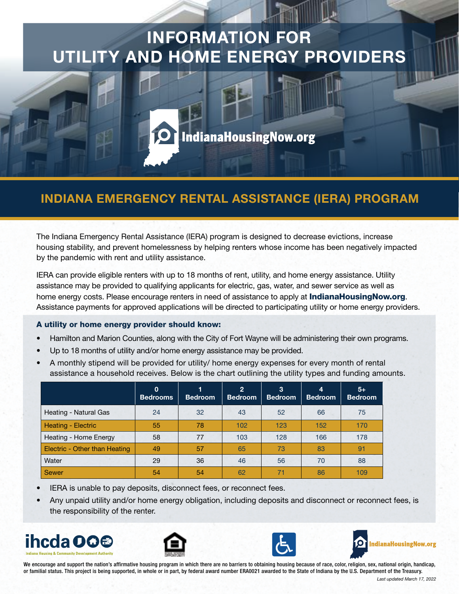## INFORMATION FOR UTILITY AND HOME ENERGY PROVIDERS



## INDIANA EMERGENCY RENTAL ASSISTANCE (IERA) PROGRAM

The Indiana Emergency Rental Assistance (IERA) program is designed to decrease evictions, increase housing stability, and prevent homelessness by helping renters whose income has been negatively impacted by the pandemic with rent and utility assistance.

IERA can provide eligible renters with up to 18 months of rent, utility, and home energy assistance. Utility assistance may be provided to qualifying applicants for electric, gas, water, and sewer service as well as home energy costs. Please encourage renters in need of assistance to apply at **[IndianaHousingNow.org](http://www.indianahousingnow.org/)**. Assistance payments for approved applications will be directed to participating utility or home energy providers.

#### A utility or home energy provider should know:

- Hamilton and Marion Counties, along with the City of Fort Wayne will be administering their own programs.
- Up to 18 months of utility and/or home energy assistance may be provided.
- A monthly stipend will be provided for utility/ home energy expenses for every month of rental assistance a household receives. Below is the chart outlining the utility types and funding amounts.

|                               | $\Omega$<br><b>Bedrooms</b> | <b>Bedroom</b> | $\overline{2}$<br><b>Bedroom</b> | 3<br><b>Bedroom</b> | 4<br><b>Bedroom</b> | $5+$<br><b>Bedroom</b> |
|-------------------------------|-----------------------------|----------------|----------------------------------|---------------------|---------------------|------------------------|
| Heating - Natural Gas         | 24                          | 32             | 43                               | 52                  | 66                  | 75                     |
| Heating - Electric            | 55                          | 78             | 102                              | 123                 | 152                 | 170                    |
| Heating - Home Energy         | 58                          | 77             | 103                              | 128                 | 166                 | 178                    |
| Electric - Other than Heating | 49                          | 57             | 65                               | 73                  | 83                  | 91                     |
| Water                         | 29                          | 36             | 46                               | 56                  | 70                  | 88                     |
| <b>Sewer</b>                  | 54                          | 54             | 62                               | 71                  | 86                  | 109                    |

- IERA is unable to pay deposits, disconnect fees, or reconnect fees.
- Any unpaid utility and/or home energy obligation, including deposits and disconnect or reconnect fees, is the responsibility of the renter.









We encourage and support the nation's affirmative housing program in which there are no barriers to obtaining housing because of race, color, religion, sex, national origin, handicap, or familial status. This project is being supported, in whole or in part, by federal award number ERA0021 awarded to the State of Indiana by the U.S. Department of the Treasury.